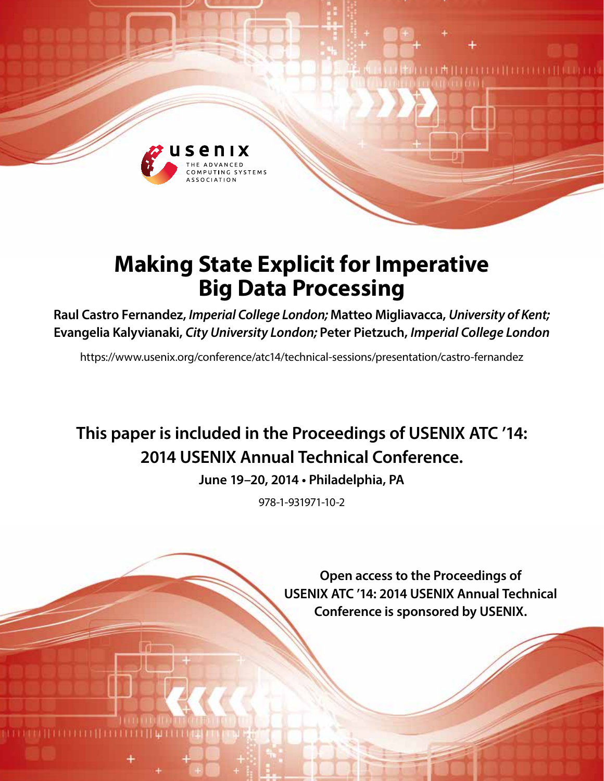

# **Making State Explicit for Imperative Big Data Processing**

**Raul Castro Fernandez,** *Imperial College London;* **Matteo Migliavacca,** *University of Kent;*  **Evangelia Kalyvianaki,** *City University London;* **Peter Pietzuch,** *Imperial College London*

https://www.usenix.org/conference/atc14/technical-sessions/presentation/castro-fernandez

# **This paper is included in the Proceedings of USENIX ATC '14: 2014 USENIX Annual Technical Conference.**

**June 19–20, 2014 • Philadelphia, PA**

978-1-931971-10-2

**Open access to the Proceedings of USENIX ATC '14: 2014 USENIX Annual Technical Conference is sponsored by USENIX.**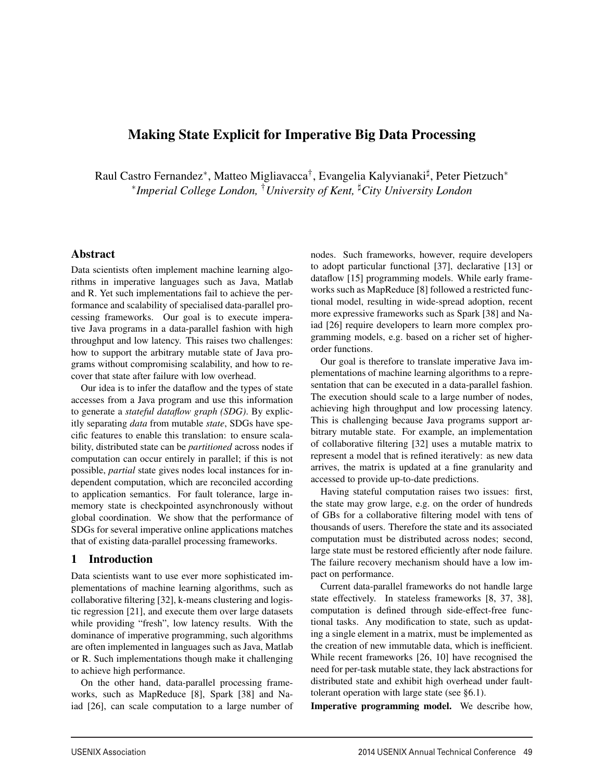# Making State Explicit for Imperative Big Data Processing

Raul Castro Fernandez\*, Matteo Migliavacca<sup>†</sup>, Evangelia Kalyvianaki<sup>‡</sup>, Peter Pietzuch\* <sup>∗</sup>*Imperial College London,* †*University of Kent, City University London*

-

#### Abstract

Data scientists often implement machine learning algorithms in imperative languages such as Java, Matlab and R. Yet such implementations fail to achieve the performance and scalability of specialised data-parallel processing frameworks. Our goal is to execute imperative Java programs in a data-parallel fashion with high throughput and low latency. This raises two challenges: how to support the arbitrary mutable state of Java programs without compromising scalability, and how to recover that state after failure with low overhead.

Our idea is to infer the dataflow and the types of state accesses from a Java program and use this information to generate a *stateful dataflow graph (SDG)*. By explicitly separating *data* from mutable *state*, SDGs have specific features to enable this translation: to ensure scalability, distributed state can be *partitioned* across nodes if computation can occur entirely in parallel; if this is not possible, *partial* state gives nodes local instances for independent computation, which are reconciled according to application semantics. For fault tolerance, large inmemory state is checkpointed asynchronously without global coordination. We show that the performance of SDGs for several imperative online applications matches that of existing data-parallel processing frameworks.

## 1 Introduction

Data scientists want to use ever more sophisticated implementations of machine learning algorithms, such as collaborative filtering [32], k-means clustering and logistic regression [21], and execute them over large datasets while providing "fresh", low latency results. With the dominance of imperative programming, such algorithms are often implemented in languages such as Java, Matlab or R. Such implementations though make it challenging to achieve high performance.

On the other hand, data-parallel processing frameworks, such as MapReduce [8], Spark [38] and Naiad [26], can scale computation to a large number of nodes. Such frameworks, however, require developers to adopt particular functional [37], declarative [13] or dataflow [15] programming models. While early frameworks such as MapReduce [8] followed a restricted functional model, resulting in wide-spread adoption, recent more expressive frameworks such as Spark [38] and Naiad [26] require developers to learn more complex programming models, e.g. based on a richer set of higherorder functions.

Our goal is therefore to translate imperative Java implementations of machine learning algorithms to a representation that can be executed in a data-parallel fashion. The execution should scale to a large number of nodes, achieving high throughput and low processing latency. This is challenging because Java programs support arbitrary mutable state. For example, an implementation of collaborative filtering [32] uses a mutable matrix to represent a model that is refined iteratively: as new data arrives, the matrix is updated at a fine granularity and accessed to provide up-to-date predictions.

Having stateful computation raises two issues: first, the state may grow large, e.g. on the order of hundreds of GBs for a collaborative filtering model with tens of thousands of users. Therefore the state and its associated computation must be distributed across nodes; second, large state must be restored efficiently after node failure. The failure recovery mechanism should have a low impact on performance.

Current data-parallel frameworks do not handle large state effectively. In stateless frameworks [8, 37, 38], computation is defined through side-effect-free functional tasks. Any modification to state, such as updating a single element in a matrix, must be implemented as the creation of new immutable data, which is inefficient. While recent frameworks [26, 10] have recognised the need for per-task mutable state, they lack abstractions for distributed state and exhibit high overhead under faulttolerant operation with large state (see §6.1).

Imperative programming model. We describe how,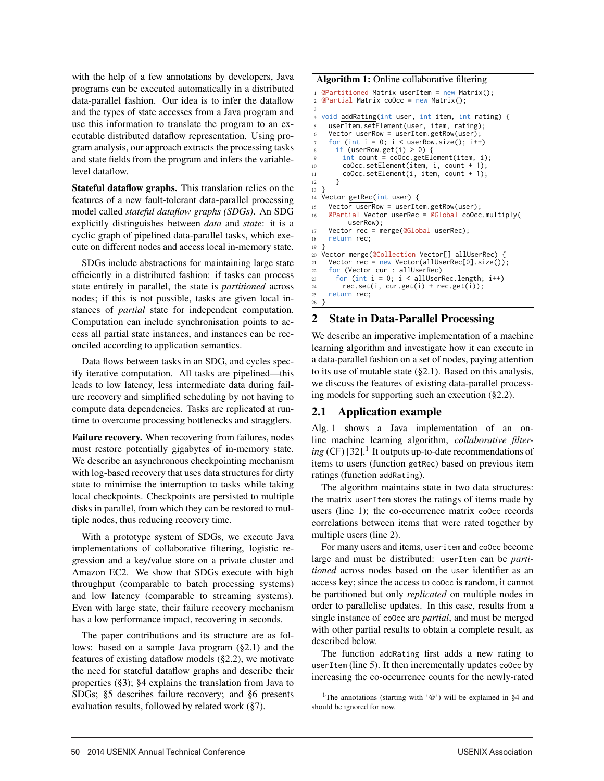with the help of a few annotations by developers, Java programs can be executed automatically in a distributed data-parallel fashion. Our idea is to infer the dataflow and the types of state accesses from a Java program and use this information to translate the program to an executable distributed dataflow representation. Using program analysis, our approach extracts the processing tasks and state fields from the program and infers the variablelevel dataflow.

Stateful dataflow graphs. This translation relies on the features of a new fault-tolerant data-parallel processing model called *stateful dataflow graphs (SDGs)*. An SDG explicitly distinguishes between *data* and *state*: it is a cyclic graph of pipelined data-parallel tasks, which execute on different nodes and access local in-memory state.

SDGs include abstractions for maintaining large state efficiently in a distributed fashion: if tasks can process state entirely in parallel, the state is *partitioned* across nodes; if this is not possible, tasks are given local instances of *partial* state for independent computation. Computation can include synchronisation points to access all partial state instances, and instances can be reconciled according to application semantics.

Data flows between tasks in an SDG, and cycles specify iterative computation. All tasks are pipelined—this leads to low latency, less intermediate data during failure recovery and simplified scheduling by not having to compute data dependencies. Tasks are replicated at runtime to overcome processing bottlenecks and stragglers.

Failure recovery. When recovering from failures, nodes must restore potentially gigabytes of in-memory state. We describe an asynchronous checkpointing mechanism with log-based recovery that uses data structures for dirty state to minimise the interruption to tasks while taking local checkpoints. Checkpoints are persisted to multiple disks in parallel, from which they can be restored to multiple nodes, thus reducing recovery time.

With a prototype system of SDGs, we execute Java implementations of collaborative filtering, logistic regression and a key/value store on a private cluster and Amazon EC2. We show that SDGs execute with high throughput (comparable to batch processing systems) and low latency (comparable to streaming systems). Even with large state, their failure recovery mechanism has a low performance impact, recovering in seconds.

The paper contributions and its structure are as follows: based on a sample Java program (§2.1) and the features of existing dataflow models (§2.2), we motivate the need for stateful dataflow graphs and describe their properties (§3); §4 explains the translation from Java to SDGs; §5 describes failure recovery; and §6 presents evaluation results, followed by related work (§7).

Algorithm 1: Online collaborative filtering

```
1 @Partitioned Matrix userItem = new Matrix();
2 @Partial Matrix coOcc = new Matrix();
 3
  void addRating(int user, int item, int rating) {
    userItem.setElement(user, item, rating);
    Vector userRow = userItem.getRow(user);
    for (int i = 0; i < userRow.size(); i++)if (userRow.get(i) > 0) {
        int count = coOcc.getElement(item, i);
10 coOcc.setElement(item, i, count + 1);
11 coOcc.setElement(i, item, count + 1);
12 }
13 }
14 Vector getRec(int user) {
15 Vector userRow = userItem.getRow(user);
16 @Partial Vector userRec = @Global coOcc.multiply(
         userRow);
17 Vector rec = merge(@Global userRec);
18 return rec;
19 }
20 Vector merge(@Collection Vector[] allUserRec) {
21 Vector rec = new Vector(allUserRec[0].size());
22 for (Vector cur : allUserRec)
23 for (int i = 0; i < allUserRec.length; i++)<br>
24 rec.set(i. cur.get(i) + rec.get(i)):
        rec.set(i, cur.get(i) + rec.get(i));25 return rec;
26 }
```
## 2 State in Data-Parallel Processing

We describe an imperative implementation of a machine learning algorithm and investigate how it can execute in a data-parallel fashion on a set of nodes, paying attention to its use of mutable state (§2.1). Based on this analysis, we discuss the features of existing data-parallel processing models for supporting such an execution (§2.2).

## 2.1 Application example

Alg. 1 shows a Java implementation of an online machine learning algorithm, *collaborative filter* $ing$  (CF) [32].<sup>1</sup> It outputs up-to-date recommendations of items to users (function getRec) based on previous item ratings (function addRating).

The algorithm maintains state in two data structures: the matrix userItem stores the ratings of items made by users (line 1); the co-occurrence matrix coOcc records correlations between items that were rated together by multiple users (line 2).

For many users and items, useritem and coOcc become large and must be distributed: userItem can be *partitioned* across nodes based on the user identifier as an access key; since the access to coOcc is random, it cannot be partitioned but only *replicated* on multiple nodes in order to parallelise updates. In this case, results from a single instance of coOcc are *partial*, and must be merged with other partial results to obtain a complete result, as described below.

The function addRating first adds a new rating to userItem (line 5). It then incrementally updates coOcc by increasing the co-occurrence counts for the newly-rated

2

<sup>&</sup>lt;sup>1</sup>The annotations (starting with  $\degree$ ) will be explained in §4 and should be ignored for now.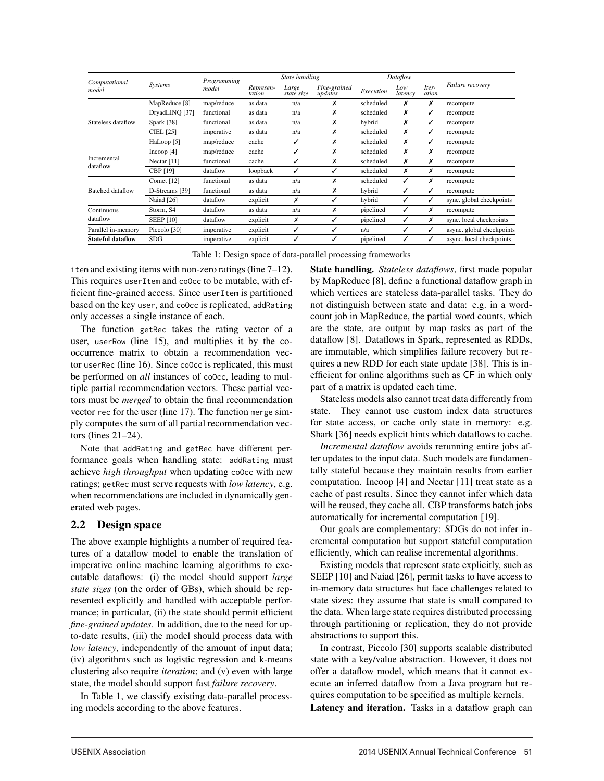| Computational<br>model   | Systems          | Programming<br>model | State handling      |                     |                         | Dataflow  |                |                |                           |
|--------------------------|------------------|----------------------|---------------------|---------------------|-------------------------|-----------|----------------|----------------|---------------------------|
|                          |                  |                      | Represen-<br>tation | Large<br>state size | Fine-grained<br>updates | Execution | Low<br>latency | Iter-<br>ation | <i>Failure recovery</i>   |
| Stateless dataflow       | MapReduce [8]    | map/reduce           | as data             | n/a                 | х                       | scheduled | х              | х              | recompute                 |
|                          | DryadLINQ [37]   | functional           | as data             | n/a                 | х                       | scheduled | х              | ✓              | recompute                 |
|                          | Spark [38]       | functional           | as data             | n/a                 | X                       | hybrid    | х              | ✓              | recompute                 |
|                          | <b>CIEL [25]</b> | imperative           | as data             | n/a                 | X                       | scheduled | х              | ✓              | recompute                 |
|                          | HaLoop [5]       | map/reduce           | cache               | ✓                   | X                       | scheduled | x              | ✓              | recompute                 |
| Incremental<br>dataflow  | Incoop $[4]$     | map/reduce           | cache               | ✓                   | X                       | scheduled | х              | х              | recompute                 |
|                          | Nectar $[11]$    | functional           | cache               | $\checkmark$        | X                       | scheduled | x              | Х              | recompute                 |
|                          | CBP [19]         | dataflow             | loopback            | ✓                   | ℐ                       | scheduled | х              | х              | recompute                 |
| <b>Batched</b> dataflow  | Comet $[12]$     | functional           | as data             | n/a                 | x                       | scheduled | ✓              | х              | recompute                 |
|                          | D-Streams [39]   | functional           | as data             | n/a                 | х                       | hybrid    | ✓              | ✓              | recompute                 |
|                          | Naiad [26]       | dataflow             | explicit            | х                   | ✓                       | hybrid    | ✓              | ✓              | sync. global checkpoints  |
| Continuous<br>dataflow   | Storm, S4        | dataflow             | as data             | n/a                 | X                       | pipelined | ✓              | х              | recompute                 |
|                          | <b>SEEP [10]</b> | dataflow             | explicit            | Х                   |                         | pipelined | ✓              | х              | sync. local checkpoints   |
| Parallel in-memory       | Piccolo [30]     | imperative           | explicit            | ✓                   |                         | n/a       | ✓              | ✓              | async. global checkpoints |
| <b>Stateful dataflow</b> | SDG              | imperative           | explicit            | √                   | ✓                       | pipelined | ✓              | ✓              | async. local checkpoints  |

Table 1: Design space of data-parallel processing frameworks

3

item and existing items with non-zero ratings (line 7–12). This requires userItem and coOcc to be mutable, with efficient fine-grained access. Since userItem is partitioned based on the key user, and coOcc is replicated, addRating only accesses a single instance of each.

The function getRec takes the rating vector of a user, userRow (line 15), and multiplies it by the cooccurrence matrix to obtain a recommendation vector userRec (line 16). Since coOcc is replicated, this must be performed on *all* instances of coOcc, leading to multiple partial recommendation vectors. These partial vectors must be *merged* to obtain the final recommendation vector rec for the user (line 17). The function merge simply computes the sum of all partial recommendation vectors (lines 21–24).

Note that addRating and getRec have different performance goals when handling state: addRating must achieve *high throughput* when updating coOcc with new ratings; getRec must serve requests with *low latency*, e.g. when recommendations are included in dynamically generated web pages.

# 2.2 Design space

The above example highlights a number of required features of a dataflow model to enable the translation of imperative online machine learning algorithms to executable dataflows: (i) the model should support *large state sizes* (on the order of GBs), which should be represented explicitly and handled with acceptable performance; in particular, (ii) the state should permit efficient *fine-grained updates*. In addition, due to the need for upto-date results, (iii) the model should process data with *low latency*, independently of the amount of input data; (iv) algorithms such as logistic regression and k-means clustering also require *iteration*; and (v) even with large state, the model should support fast *failure recovery*.

In Table 1, we classify existing data-parallel processing models according to the above features.

State handling. *Stateless dataflows*, first made popular by MapReduce [8], define a functional dataflow graph in which vertices are stateless data-parallel tasks. They do not distinguish between state and data: e.g. in a wordcount job in MapReduce, the partial word counts, which are the state, are output by map tasks as part of the dataflow [8]. Dataflows in Spark, represented as RDDs, are immutable, which simplifies failure recovery but requires a new RDD for each state update [38]. This is inefficient for online algorithms such as CF in which only part of a matrix is updated each time.

Stateless models also cannot treat data differently from state. They cannot use custom index data structures for state access, or cache only state in memory: e.g. Shark [36] needs explicit hints which dataflows to cache.

*Incremental dataflow* avoids rerunning entire jobs after updates to the input data. Such models are fundamentally stateful because they maintain results from earlier computation. Incoop [4] and Nectar [11] treat state as a cache of past results. Since they cannot infer which data will be reused, they cache all. CBP transforms batch jobs automatically for incremental computation [19].

Our goals are complementary: SDGs do not infer incremental computation but support stateful computation efficiently, which can realise incremental algorithms.

Existing models that represent state explicitly, such as SEEP [10] and Naiad [26], permit tasks to have access to in-memory data structures but face challenges related to state sizes: they assume that state is small compared to the data. When large state requires distributed processing through partitioning or replication, they do not provide abstractions to support this.

In contrast, Piccolo [30] supports scalable distributed state with a key/value abstraction. However, it does not offer a dataflow model, which means that it cannot execute an inferred dataflow from a Java program but requires computation to be specified as multiple kernels.

Latency and iteration. Tasks in a dataflow graph can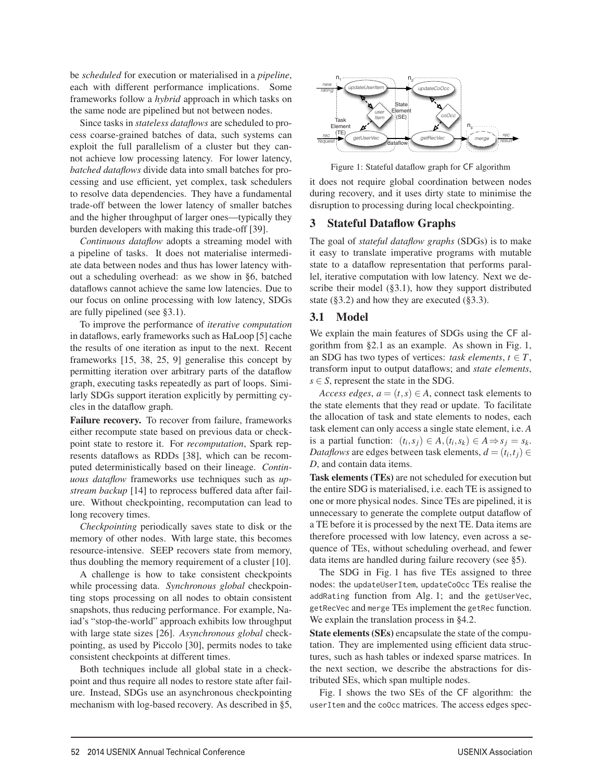be *scheduled* for execution or materialised in a *pipeline*, each with different performance implications. Some frameworks follow a *hybrid* approach in which tasks on the same node are pipelined but not between nodes.

Since tasks in *stateless dataflows* are scheduled to process coarse-grained batches of data, such systems can exploit the full parallelism of a cluster but they cannot achieve low processing latency. For lower latency, *batched dataflows* divide data into small batches for processing and use efficient, yet complex, task schedulers to resolve data dependencies. They have a fundamental trade-off between the lower latency of smaller batches and the higher throughput of larger ones—typically they burden developers with making this trade-off [39].

*Continuous dataflow* adopts a streaming model with a pipeline of tasks. It does not materialise intermediate data between nodes and thus has lower latency without a scheduling overhead: as we show in §6, batched dataflows cannot achieve the same low latencies. Due to our focus on online processing with low latency, SDGs are fully pipelined (see §3.1).

To improve the performance of *iterative computation* in dataflows, early frameworks such as HaLoop [5] cache the results of one iteration as input to the next. Recent frameworks [15, 38, 25, 9] generalise this concept by permitting iteration over arbitrary parts of the dataflow graph, executing tasks repeatedly as part of loops. Similarly SDGs support iteration explicitly by permitting cycles in the dataflow graph.

Failure recovery. To recover from failure, frameworks either recompute state based on previous data or checkpoint state to restore it. For *recomputation*, Spark represents dataflows as RDDs [38], which can be recomputed deterministically based on their lineage. *Continuous dataflow* frameworks use techniques such as *upstream backup* [14] to reprocess buffered data after failure. Without checkpointing, recomputation can lead to long recovery times.

*Checkpointing* periodically saves state to disk or the memory of other nodes. With large state, this becomes resource-intensive. SEEP recovers state from memory, thus doubling the memory requirement of a cluster [10].

A challenge is how to take consistent checkpoints while processing data. *Synchronous global* checkpointing stops processing on all nodes to obtain consistent snapshots, thus reducing performance. For example, Naiad's "stop-the-world" approach exhibits low throughput with large state sizes [26]. *Asynchronous global* checkpointing, as used by Piccolo [30], permits nodes to take consistent checkpoints at different times.

Both techniques include all global state in a checkpoint and thus require all nodes to restore state after failure. Instead, SDGs use an asynchronous checkpointing mechanism with log-based recovery. As described in §5,



Figure 1: Stateful dataflow graph for CF algorithm

it does not require global coordination between nodes during recovery, and it uses dirty state to minimise the disruption to processing during local checkpointing.

## 3 Stateful Dataflow Graphs

The goal of *stateful dataflow graphs* (SDGs) is to make it easy to translate imperative programs with mutable state to a dataflow representation that performs parallel, iterative computation with low latency. Next we describe their model (§3.1), how they support distributed state  $(\S 3.2)$  and how they are executed  $(\S 3.3)$ .

## 3.1 Model

4

We explain the main features of SDGs using the CF algorithm from §2.1 as an example. As shown in Fig. 1, an SDG has two types of vertices: *task elements*,  $t \in T$ , transform input to output dataflows; and *state elements*,  $s \in S$ , represent the state in the SDG.

*Access edges,*  $a = (t, s) \in A$ , connect task elements to the state elements that they read or update. To facilitate the allocation of task and state elements to nodes, each task element can only access a single state element, i.e. *A* is a partial function:  $(t_i, s_j) \in A$ ,  $(t_i, s_k) \in A \Rightarrow s_j = s_k$ . *Dataflows* are edges between task elements,  $d = (t_i, t_j) \in$ *D*, and contain data items.

Task elements (TEs) are not scheduled for execution but the entire SDG is materialised, i.e. each TE is assigned to one or more physical nodes. Since TEs are pipelined, it is unnecessary to generate the complete output dataflow of a TE before it is processed by the next TE. Data items are therefore processed with low latency, even across a sequence of TEs, without scheduling overhead, and fewer data items are handled during failure recovery (see §5).

The SDG in Fig. 1 has five TEs assigned to three nodes: the updateUserItem, updateCoOcc TEs realise the addRating function from Alg. 1; and the getUserVec, getRecVec and merge TEs implement the getRec function. We explain the translation process in §4.2.

State elements (SEs) encapsulate the state of the computation. They are implemented using efficient data structures, such as hash tables or indexed sparse matrices. In the next section, we describe the abstractions for distributed SEs, which span multiple nodes.

Fig. 1 shows the two SEs of the CF algorithm: the userItem and the coOcc matrices. The access edges spec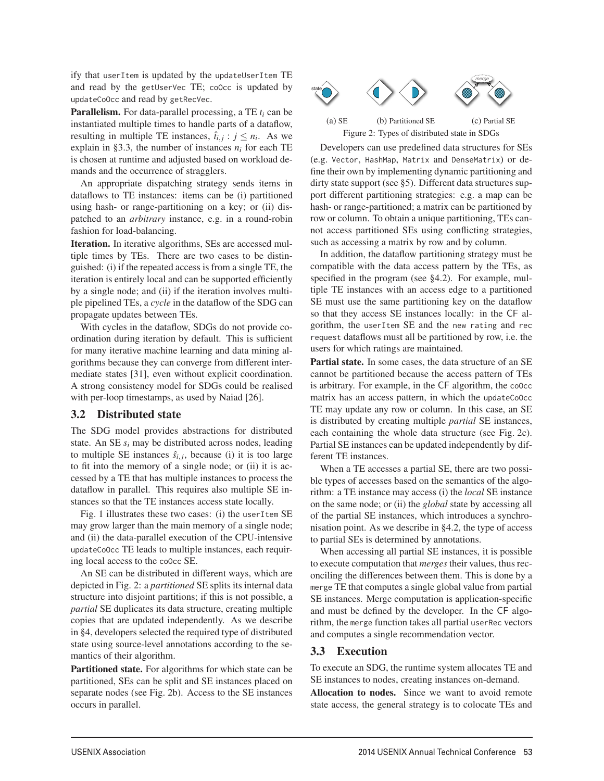ify that userItem is updated by the updateUserItem TE and read by the getUserVec TE; coOcc is updated by updateCoOcc and read by getRecVec.

Parallelism. For data-parallel processing, a TE *ti* can be instantiated multiple times to handle parts of a dataflow, resulting in multiple TE instances,  $\hat{t}_{i,j}$  :  $j \leq n_i$ . As we explain in §3.3, the number of instances  $n_i$  for each TE is chosen at runtime and adjusted based on workload demands and the occurrence of stragglers.

An appropriate dispatching strategy sends items in dataflows to TE instances: items can be (i) partitioned using hash- or range-partitioning on a key; or (ii) dispatched to an *arbitrary* instance, e.g. in a round-robin fashion for load-balancing.

Iteration. In iterative algorithms, SEs are accessed multiple times by TEs. There are two cases to be distinguished: (i) if the repeated access is from a single TE, the iteration is entirely local and can be supported efficiently by a single node; and (ii) if the iteration involves multiple pipelined TEs, a *cycle* in the dataflow of the SDG can propagate updates between TEs.

With cycles in the dataflow, SDGs do not provide coordination during iteration by default. This is sufficient for many iterative machine learning and data mining algorithms because they can converge from different intermediate states [31], even without explicit coordination. A strong consistency model for SDGs could be realised with per-loop timestamps, as used by Naiad [26].

#### 3.2 Distributed state

The SDG model provides abstractions for distributed state. An SE *si* may be distributed across nodes, leading to multiple SE instances  $\hat{s}_{i,j}$ , because (i) it is too large to fit into the memory of a single node; or (ii) it is accessed by a TE that has multiple instances to process the dataflow in parallel. This requires also multiple SE instances so that the TE instances access state locally.

Fig. 1 illustrates these two cases: (i) the userItem SE may grow larger than the main memory of a single node; and (ii) the data-parallel execution of the CPU-intensive updateCoOcc TE leads to multiple instances, each requiring local access to the coOcc SE.

An SE can be distributed in different ways, which are depicted in Fig. 2: a *partitioned* SE splits its internal data structure into disjoint partitions; if this is not possible, a *partial* SE duplicates its data structure, creating multiple copies that are updated independently. As we describe in §4, developers selected the required type of distributed state using source-level annotations according to the semantics of their algorithm.

Partitioned state. For algorithms for which state can be partitioned, SEs can be split and SE instances placed on separate nodes (see Fig. 2b). Access to the SE instances occurs in parallel.



Figure 2: Types of distributed state in SDGs

Developers can use predefined data structures for SEs (e.g. Vector, HashMap, Matrix and DenseMatrix) or define their own by implementing dynamic partitioning and dirty state support (see §5). Different data structures support different partitioning strategies: e.g. a map can be hash- or range-partitioned; a matrix can be partitioned by row or column. To obtain a unique partitioning, TEs cannot access partitioned SEs using conflicting strategies, such as accessing a matrix by row and by column.

In addition, the dataflow partitioning strategy must be compatible with the data access pattern by the TEs, as specified in the program (see §4.2). For example, multiple TE instances with an access edge to a partitioned SE must use the same partitioning key on the dataflow so that they access SE instances locally: in the CF algorithm, the userItem SE and the new rating and rec request dataflows must all be partitioned by row, i.e. the users for which ratings are maintained.

Partial state. In some cases, the data structure of an SE cannot be partitioned because the access pattern of TEs is arbitrary. For example, in the CF algorithm, the coOcc matrix has an access pattern, in which the updateCoOcc TE may update any row or column. In this case, an SE is distributed by creating multiple *partial* SE instances, each containing the whole data structure (see Fig. 2c). Partial SE instances can be updated independently by different TE instances.

When a TE accesses a partial SE, there are two possible types of accesses based on the semantics of the algorithm: a TE instance may access (i) the *local* SE instance on the same node; or (ii) the *global* state by accessing all of the partial SE instances, which introduces a synchronisation point. As we describe in §4.2, the type of access to partial SEs is determined by annotations.

When accessing all partial SE instances, it is possible to execute computation that *merges* their values, thus reconciling the differences between them. This is done by a merge TE that computes a single global value from partial SE instances. Merge computation is application-specific and must be defined by the developer. In the CF algorithm, the merge function takes all partial userRec vectors and computes a single recommendation vector.

## 3.3 Execution

5

To execute an SDG, the runtime system allocates TE and SE instances to nodes, creating instances on-demand.

Allocation to nodes. Since we want to avoid remote state access, the general strategy is to colocate TEs and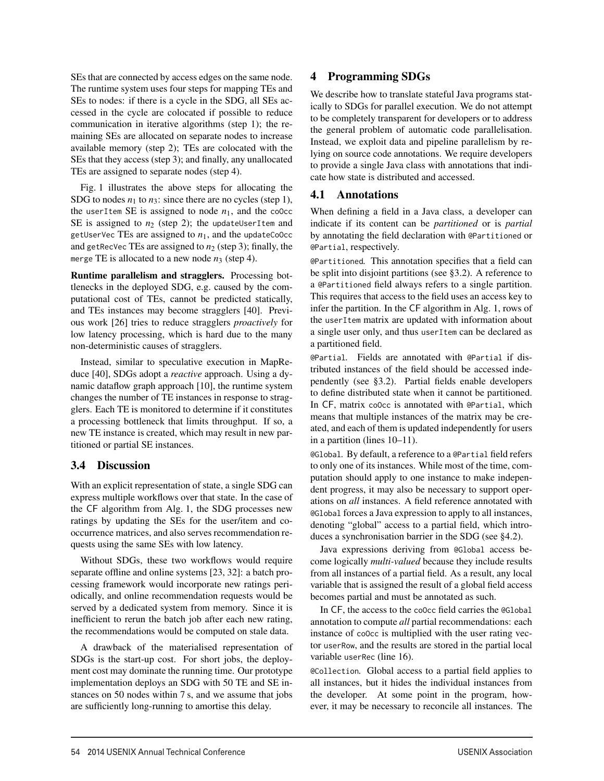SEs that are connected by access edges on the same node. The runtime system uses four steps for mapping TEs and SEs to nodes: if there is a cycle in the SDG, all SEs accessed in the cycle are colocated if possible to reduce communication in iterative algorithms (step 1); the remaining SEs are allocated on separate nodes to increase available memory (step 2); TEs are colocated with the SEs that they access (step 3); and finally, any unallocated TEs are assigned to separate nodes (step 4).

Fig. 1 illustrates the above steps for allocating the SDG to nodes  $n_1$  to  $n_3$ : since there are no cycles (step 1), the userItem SE is assigned to node  $n_1$ , and the coOcc SE is assigned to  $n_2$  (step 2); the updateUserItem and getUserVec TEs are assigned to  $n_1$ , and the updateCoOcc and getRecVec TEs are assigned to  $n_2$  (step 3); finally, the merge TE is allocated to a new node  $n_3$  (step 4).

Runtime parallelism and stragglers. Processing bottlenecks in the deployed SDG, e.g. caused by the computational cost of TEs, cannot be predicted statically, and TEs instances may become stragglers [40]. Previous work [26] tries to reduce stragglers *proactively* for low latency processing, which is hard due to the many non-deterministic causes of stragglers.

Instead, similar to speculative execution in MapReduce [40], SDGs adopt a *reactive* approach. Using a dynamic dataflow graph approach [10], the runtime system changes the number of TE instances in response to stragglers. Each TE is monitored to determine if it constitutes a processing bottleneck that limits throughput. If so, a new TE instance is created, which may result in new partitioned or partial SE instances.

# 3.4 Discussion

With an explicit representation of state, a single SDG can express multiple workflows over that state. In the case of the CF algorithm from Alg. 1, the SDG processes new ratings by updating the SEs for the user/item and cooccurrence matrices, and also serves recommendation requests using the same SEs with low latency.

Without SDGs, these two workflows would require separate offline and online systems [23, 32]: a batch processing framework would incorporate new ratings periodically, and online recommendation requests would be served by a dedicated system from memory. Since it is inefficient to rerun the batch job after each new rating, the recommendations would be computed on stale data.

A drawback of the materialised representation of SDGs is the start-up cost. For short jobs, the deployment cost may dominate the running time. Our prototype implementation deploys an SDG with 50 TE and SE instances on 50 nodes within 7 s, and we assume that jobs are sufficiently long-running to amortise this delay.

# 4 Programming SDGs

We describe how to translate stateful Java programs statically to SDGs for parallel execution. We do not attempt to be completely transparent for developers or to address the general problem of automatic code parallelisation. Instead, we exploit data and pipeline parallelism by relying on source code annotations. We require developers to provide a single Java class with annotations that indicate how state is distributed and accessed.

## 4.1 Annotations

When defining a field in a Java class, a developer can indicate if its content can be *partitioned* or is *partial* by annotating the field declaration with @Partitioned or @Partial, respectively.

@Partitioned*.* This annotation specifies that a field can be split into disjoint partitions (see §3.2). A reference to a @Partitioned field always refers to a single partition. This requires that access to the field uses an access key to infer the partition. In the CF algorithm in Alg. 1, rows of the userItem matrix are updated with information about a single user only, and thus userItem can be declared as a partitioned field.

@Partial*.* Fields are annotated with @Partial if distributed instances of the field should be accessed independently (see §3.2). Partial fields enable developers to define distributed state when it cannot be partitioned. In CF, matrix coOcc is annotated with @Partial, which means that multiple instances of the matrix may be created, and each of them is updated independently for users in a partition (lines 10–11).

@Global*.* By default, a reference to a @Partial field refers to only one of its instances. While most of the time, computation should apply to one instance to make independent progress, it may also be necessary to support operations on *all* instances. A field reference annotated with @Global forces a Java expression to apply to all instances, denoting "global" access to a partial field, which introduces a synchronisation barrier in the SDG (see §4.2).

Java expressions deriving from @Global access become logically *multi-valued* because they include results from all instances of a partial field. As a result, any local variable that is assigned the result of a global field access becomes partial and must be annotated as such.

In CF, the access to the coOcc field carries the @Global annotation to compute *all* partial recommendations: each instance of coOcc is multiplied with the user rating vector userRow, and the results are stored in the partial local variable userRec (line 16).

@Collection*.* Global access to a partial field applies to all instances, but it hides the individual instances from the developer. At some point in the program, however, it may be necessary to reconcile all instances. The

6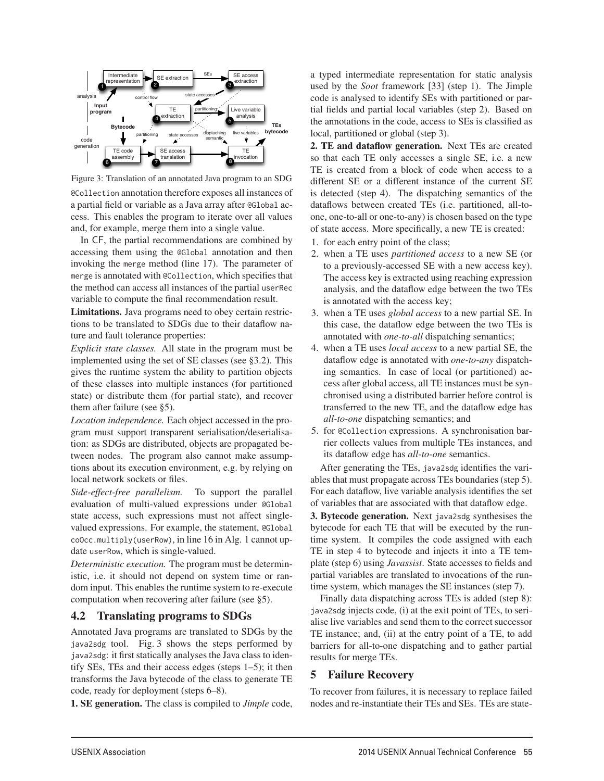

Figure 3: Translation of an annotated Java program to an SDG @Collection annotation therefore exposes all instances of a partial field or variable as a Java array after @Global access. This enables the program to iterate over all values and, for example, merge them into a single value.

In CF, the partial recommendations are combined by accessing them using the @Global annotation and then invoking the merge method (line 17). The parameter of merge is annotated with @Collection, which specifies that the method can access all instances of the partial userRec variable to compute the final recommendation result.

Limitations. Java programs need to obey certain restrictions to be translated to SDGs due to their dataflow nature and fault tolerance properties:

*Explicit state classes.* All state in the program must be implemented using the set of SE classes (see §3.2). This gives the runtime system the ability to partition objects of these classes into multiple instances (for partitioned state) or distribute them (for partial state), and recover them after failure (see §5).

*Location independence.* Each object accessed in the program must support transparent serialisation/deserialisation: as SDGs are distributed, objects are propagated between nodes. The program also cannot make assumptions about its execution environment, e.g. by relying on local network sockets or files.

*Side-effect-free parallelism.* To support the parallel evaluation of multi-valued expressions under @Global state access, such expressions must not affect singlevalued expressions. For example, the statement, @Global coOcc.multiply(userRow), in line 16 in Alg. 1 cannot update userRow, which is single-valued.

*Deterministic execution.* The program must be deterministic, i.e. it should not depend on system time or random input. This enables the runtime system to re-execute computation when recovering after failure (see §5).

## 4.2 Translating programs to SDGs

Annotated Java programs are translated to SDGs by the java2sdg tool. Fig. 3 shows the steps performed by java2sdg: it first statically analyses the Java class to identify SEs, TEs and their access edges (steps 1–5); it then transforms the Java bytecode of the class to generate TE code, ready for deployment (steps 6–8).

1. SE generation. The class is compiled to *Jimple* code,

a typed intermediate representation for static analysis used by the *Soot* framework [33] (step 1). The Jimple code is analysed to identify SEs with partitioned or partial fields and partial local variables (step 2). Based on the annotations in the code, access to SEs is classified as local, partitioned or global (step 3).

2. TE and dataflow generation. Next TEs are created so that each TE only accesses a single SE, i.e. a new TE is created from a block of code when access to a different SE or a different instance of the current SE is detected (step 4). The dispatching semantics of the dataflows between created TEs (i.e. partitioned, all-toone, one-to-all or one-to-any) is chosen based on the type of state access. More specifically, a new TE is created:

- 1. for each entry point of the class;
- 2. when a TE uses *partitioned access* to a new SE (or to a previously-accessed SE with a new access key). The access key is extracted using reaching expression analysis, and the dataflow edge between the two TEs is annotated with the access key;
- 3. when a TE uses *global access* to a new partial SE. In this case, the dataflow edge between the two TEs is annotated with *one-to-all* dispatching semantics;
- 4. when a TE uses *local access* to a new partial SE, the dataflow edge is annotated with *one-to-any* dispatching semantics. In case of local (or partitioned) access after global access, all TE instances must be synchronised using a distributed barrier before control is transferred to the new TE, and the dataflow edge has *all-to-one* dispatching semantics; and
- 5. for @Collection expressions. A synchronisation barrier collects values from multiple TEs instances, and its dataflow edge has *all-to-one* semantics.

After generating the TEs, java2sdg identifies the variables that must propagate across TEs boundaries (step 5). For each dataflow, live variable analysis identifies the set of variables that are associated with that dataflow edge.

3. Bytecode generation. Next java2sdg synthesises the bytecode for each TE that will be executed by the runtime system. It compiles the code assigned with each TE in step 4 to bytecode and injects it into a TE template (step 6) using *Javassist*. State accesses to fields and partial variables are translated to invocations of the runtime system, which manages the SE instances (step 7).

Finally data dispatching across TEs is added (step 8): java2sdg injects code, (i) at the exit point of TEs, to serialise live variables and send them to the correct successor TE instance; and, (ii) at the entry point of a TE, to add barriers for all-to-one dispatching and to gather partial results for merge TEs.

## 5 Failure Recovery

7

To recover from failures, it is necessary to replace failed nodes and re-instantiate their TEs and SEs. TEs are state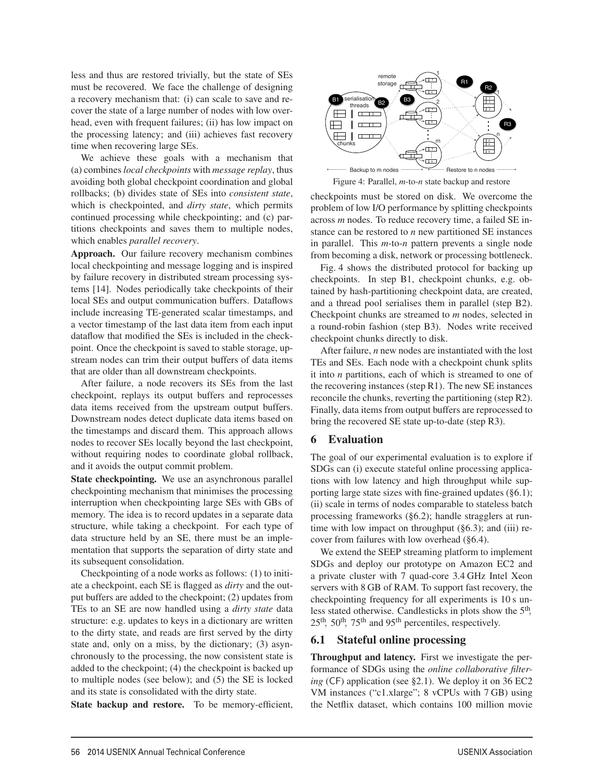less and thus are restored trivially, but the state of SEs must be recovered. We face the challenge of designing a recovery mechanism that: (i) can scale to save and recover the state of a large number of nodes with low overhead, even with frequent failures; (ii) has low impact on the processing latency; and (iii) achieves fast recovery time when recovering large SEs.

We achieve these goals with a mechanism that (a) combines *local checkpoints* with *message replay*, thus avoiding both global checkpoint coordination and global rollbacks; (b) divides state of SEs into *consistent state*, which is checkpointed, and *dirty state*, which permits continued processing while checkpointing; and (c) partitions checkpoints and saves them to multiple nodes, which enables *parallel recovery*.

Approach. Our failure recovery mechanism combines local checkpointing and message logging and is inspired by failure recovery in distributed stream processing systems [14]. Nodes periodically take checkpoints of their local SEs and output communication buffers. Dataflows include increasing TE-generated scalar timestamps, and a vector timestamp of the last data item from each input dataflow that modified the SEs is included in the checkpoint. Once the checkpoint is saved to stable storage, upstream nodes can trim their output buffers of data items that are older than all downstream checkpoints.

After failure, a node recovers its SEs from the last checkpoint, replays its output buffers and reprocesses data items received from the upstream output buffers. Downstream nodes detect duplicate data items based on the timestamps and discard them. This approach allows nodes to recover SEs locally beyond the last checkpoint, without requiring nodes to coordinate global rollback, and it avoids the output commit problem.

State checkpointing. We use an asynchronous parallel checkpointing mechanism that minimises the processing interruption when checkpointing large SEs with GBs of memory. The idea is to record updates in a separate data structure, while taking a checkpoint. For each type of data structure held by an SE, there must be an implementation that supports the separation of dirty state and its subsequent consolidation.

Checkpointing of a node works as follows: (1) to initiate a checkpoint, each SE is flagged as *dirty* and the output buffers are added to the checkpoint; (2) updates from TEs to an SE are now handled using a *dirty state* data structure: e.g. updates to keys in a dictionary are written to the dirty state, and reads are first served by the dirty state and, only on a miss, by the dictionary; (3) asynchronously to the processing, the now consistent state is added to the checkpoint; (4) the checkpoint is backed up to multiple nodes (see below); and (5) the SE is locked and its state is consolidated with the dirty state.

State backup and restore. To be memory-efficient,



Figure 4: Parallel, *m*-to-*n* state backup and restore

checkpoints must be stored on disk. We overcome the problem of low I/O performance by splitting checkpoints across *m* nodes. To reduce recovery time, a failed SE instance can be restored to *n* new partitioned SE instances in parallel. This *m*-to-*n* pattern prevents a single node from becoming a disk, network or processing bottleneck.

Fig. 4 shows the distributed protocol for backing up checkpoints. In step B1, checkpoint chunks, e.g. obtained by hash-partitioning checkpoint data, are created, and a thread pool serialises them in parallel (step B2). Checkpoint chunks are streamed to *m* nodes, selected in a round-robin fashion (step B3). Nodes write received checkpoint chunks directly to disk.

After failure, *n* new nodes are instantiated with the lost TEs and SEs. Each node with a checkpoint chunk splits it into *n* partitions, each of which is streamed to one of the recovering instances (step R1). The new SE instances reconcile the chunks, reverting the partitioning (step R2). Finally, data items from output buffers are reprocessed to bring the recovered SE state up-to-date (step R3).

# 6 Evaluation

8

The goal of our experimental evaluation is to explore if SDGs can (i) execute stateful online processing applications with low latency and high throughput while supporting large state sizes with fine-grained updates (§6.1); (ii) scale in terms of nodes comparable to stateless batch processing frameworks (§6.2); handle stragglers at runtime with low impact on throughput  $(\S6.3)$ ; and (iii) recover from failures with low overhead (§6.4).

We extend the SEEP streaming platform to implement SDGs and deploy our prototype on Amazon EC2 and a private cluster with 7 quad-core 3.4 GHz Intel Xeon servers with 8 GB of RAM. To support fast recovery, the checkpointing frequency for all experiments is 10 s unless stated otherwise. Candlesticks in plots show the 5th,  $25<sup>th</sup>$ ,  $50<sup>th</sup>$ ,  $75<sup>th</sup>$  and  $95<sup>th</sup>$  percentiles, respectively.

# 6.1 Stateful online processing

Throughput and latency. First we investigate the performance of SDGs using the *online collaborative filtering* (CF) application (see §2.1). We deploy it on 36 EC2 VM instances ("c1.xlarge"; 8 vCPUs with 7 GB) using the Netflix dataset, which contains 100 million movie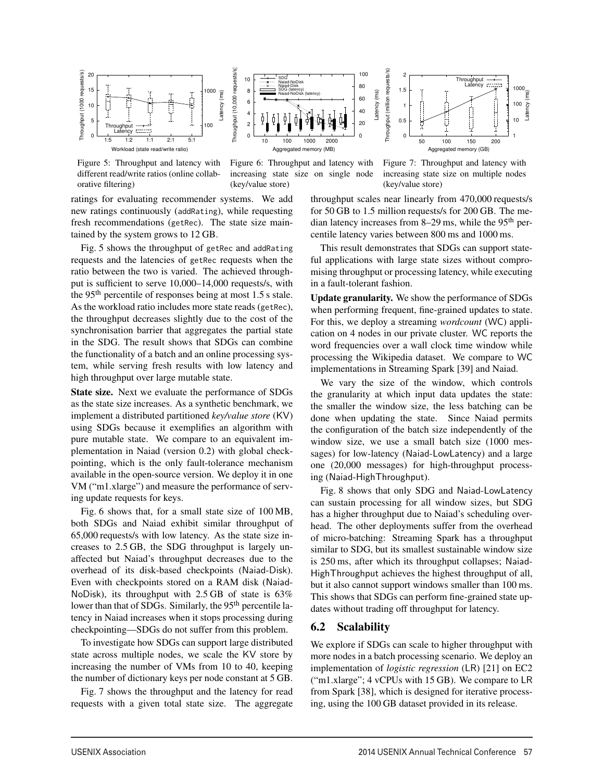

Figure 5: Throughput and latency with different read/write ratios (online collaborative filtering)



Figure 6: Throughput and latency with increasing state size on single node (key/value store)

ratings for evaluating recommender systems. We add new ratings continuously (addRating), while requesting fresh recommendations (getRec). The state size maintained by the system grows to 12 GB.

Fig. 5 shows the throughput of getRec and addRating requests and the latencies of getRec requests when the ratio between the two is varied. The achieved throughput is sufficient to serve 10,000–14,000 requests/s, with the 95<sup>th</sup> percentile of responses being at most 1.5 s stale. As the workload ratio includes more state reads (getRec), the throughput decreases slightly due to the cost of the synchronisation barrier that aggregates the partial state in the SDG. The result shows that SDGs can combine the functionality of a batch and an online processing system, while serving fresh results with low latency and high throughput over large mutable state.

State size. Next we evaluate the performance of SDGs as the state size increases. As a synthetic benchmark, we implement a distributed partitioned *key/value store* (KV) using SDGs because it exemplifies an algorithm with pure mutable state. We compare to an equivalent implementation in Naiad (version 0.2) with global checkpointing, which is the only fault-tolerance mechanism available in the open-source version. We deploy it in one VM ("m1.xlarge") and measure the performance of serving update requests for keys.

Fig. 6 shows that, for a small state size of 100 MB, both SDGs and Naiad exhibit similar throughput of 65,000 requests/s with low latency. As the state size increases to 2.5 GB, the SDG throughput is largely unaffected but Naiad's throughput decreases due to the overhead of its disk-based checkpoints (Naiad-Disk). Even with checkpoints stored on a RAM disk (Naiad-NoDisk), its throughput with 2.5 GB of state is 63% lower than that of SDGs. Similarly, the 95<sup>th</sup> percentile latency in Naiad increases when it stops processing during checkpointing—SDGs do not suffer from this problem.

To investigate how SDGs can support large distributed state across multiple nodes, we scale the KV store by increasing the number of VMs from 10 to 40, keeping the number of dictionary keys per node constant at 5 GB.

Fig. 7 shows the throughput and the latency for read requests with a given total state size. The aggregate



50 100 150 200

Throughput Latency

Latency (ms)

Later

throughput scales near linearly from 470,000 requests/s for 50 GB to 1.5 million requests/s for 200 GB. The median latency increases from 8–29 ms, while the 95<sup>th</sup> percentile latency varies between 800 ms and 1000 ms.

Latency (ms)

Latency (ms)

Throughput (million requests/s)

Throughput (million requests/s)

 $\Omega$  0.5 1 1.5 2

This result demonstrates that SDGs can support stateful applications with large state sizes without compromising throughput or processing latency, while executing in a fault-tolerant fashion.

Update granularity. We show the performance of SDGs when performing frequent, fine-grained updates to state. For this, we deploy a streaming *wordcount* (WC) application on 4 nodes in our private cluster. WC reports the word frequencies over a wall clock time window while processing the Wikipedia dataset. We compare to WC implementations in Streaming Spark [39] and Naiad.

We vary the size of the window, which controls the granularity at which input data updates the state: the smaller the window size, the less batching can be done when updating the state. Since Naiad permits the configuration of the batch size independently of the window size, we use a small batch size (1000 messages) for low-latency (Naiad-LowLatency) and a large one (20,000 messages) for high-throughput processing (Naiad-HighThroughput).

Fig. 8 shows that only SDG and Naiad-LowLatency can sustain processing for all window sizes, but SDG has a higher throughput due to Naiad's scheduling overhead. The other deployments suffer from the overhead of micro-batching: Streaming Spark has a throughput similar to SDG, but its smallest sustainable window size is 250 ms, after which its throughput collapses; Naiad-HighThroughput achieves the highest throughput of all, but it also cannot support windows smaller than 100 ms. This shows that SDGs can perform fine-grained state updates without trading off throughput for latency.

#### 6.2 Scalability

9

We explore if SDGs can scale to higher throughput with more nodes in a batch processing scenario. We deploy an implementation of *logistic regression* (LR) [21] on EC2 ("m1.xlarge"; 4 vCPUs with 15 GB). We compare to LR from Spark [38], which is designed for iterative processing, using the 100 GB dataset provided in its release.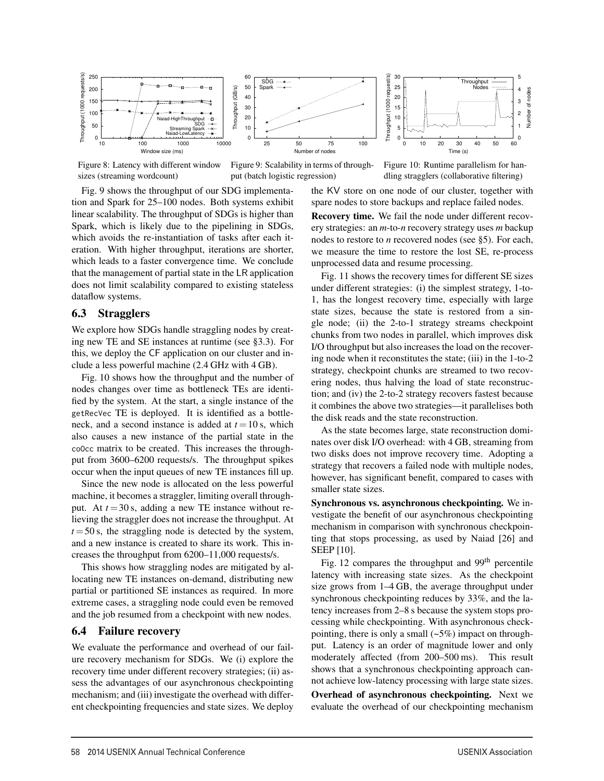

Figure 8: Latency with different window sizes (streaming wordcount)

Figure 9: Scalability in terms of throughput (batch logistic regression)

10

Figure 10: Runtime parallelism for handling stragglers (collaborative filtering)

Fig. 9 shows the throughput of our SDG implementation and Spark for 25–100 nodes. Both systems exhibit linear scalability. The throughput of SDGs is higher than Spark, which is likely due to the pipelining in SDGs, which avoids the re-instantiation of tasks after each iteration. With higher throughput, iterations are shorter, which leads to a faster convergence time. We conclude that the management of partial state in the LR application does not limit scalability compared to existing stateless dataflow systems.

## 6.3 Stragglers

We explore how SDGs handle straggling nodes by creating new TE and SE instances at runtime (see §3.3). For this, we deploy the CF application on our cluster and include a less powerful machine (2.4 GHz with 4 GB).

Fig. 10 shows how the throughput and the number of nodes changes over time as bottleneck TEs are identified by the system. At the start, a single instance of the getRecVec TE is deployed. It is identified as a bottleneck, and a second instance is added at  $t = 10$  s, which also causes a new instance of the partial state in the coOcc matrix to be created. This increases the throughput from 3600–6200 requests/s. The throughput spikes occur when the input queues of new TE instances fill up.

Since the new node is allocated on the less powerful machine, it becomes a straggler, limiting overall throughput. At  $t = 30$  s, adding a new TE instance without relieving the straggler does not increase the throughput. At  $t = 50$  s, the straggling node is detected by the system, and a new instance is created to share its work. This increases the throughput from 6200–11,000 requests/s.

This shows how straggling nodes are mitigated by allocating new TE instances on-demand, distributing new partial or partitioned SE instances as required. In more extreme cases, a straggling node could even be removed and the job resumed from a checkpoint with new nodes.

## 6.4 Failure recovery

We evaluate the performance and overhead of our failure recovery mechanism for SDGs. We (i) explore the recovery time under different recovery strategies; (ii) assess the advantages of our asynchronous checkpointing mechanism; and (iii) investigate the overhead with different checkpointing frequencies and state sizes. We deploy spare nodes to store backups and replace failed nodes. Recovery time. We fail the node under different recov-

the KV store on one node of our cluster, together with

ery strategies: an *m*-to-*n* recovery strategy uses *m* backup nodes to restore to *n* recovered nodes (see §5). For each, we measure the time to restore the lost SE, re-process unprocessed data and resume processing.

Fig. 11 shows the recovery times for different SE sizes under different strategies: (i) the simplest strategy, 1-to-1, has the longest recovery time, especially with large state sizes, because the state is restored from a single node; (ii) the 2-to-1 strategy streams checkpoint chunks from two nodes in parallel, which improves disk I/O throughput but also increases the load on the recovering node when it reconstitutes the state; (iii) in the 1-to-2 strategy, checkpoint chunks are streamed to two recovering nodes, thus halving the load of state reconstruction; and (iv) the 2-to-2 strategy recovers fastest because it combines the above two strategies—it parallelises both the disk reads and the state reconstruction.

As the state becomes large, state reconstruction dominates over disk I/O overhead: with 4 GB, streaming from two disks does not improve recovery time. Adopting a strategy that recovers a failed node with multiple nodes, however, has significant benefit, compared to cases with smaller state sizes.

Synchronous vs. asynchronous checkpointing. We investigate the benefit of our asynchronous checkpointing mechanism in comparison with synchronous checkpointing that stops processing, as used by Naiad [26] and SEEP [10].

Fig. 12 compares the throughput and 99<sup>th</sup> percentile latency with increasing state sizes. As the checkpoint size grows from 1–4 GB, the average throughput under synchronous checkpointing reduces by 33%, and the latency increases from 2–8 s because the system stops processing while checkpointing. With asynchronous checkpointing, there is only a small  $(-5%)$  impact on throughput. Latency is an order of magnitude lower and only moderately affected (from 200–500 ms). This result shows that a synchronous checkpointing approach cannot achieve low-latency processing with large state sizes. Overhead of asynchronous checkpointing. Next we evaluate the overhead of our checkpointing mechanism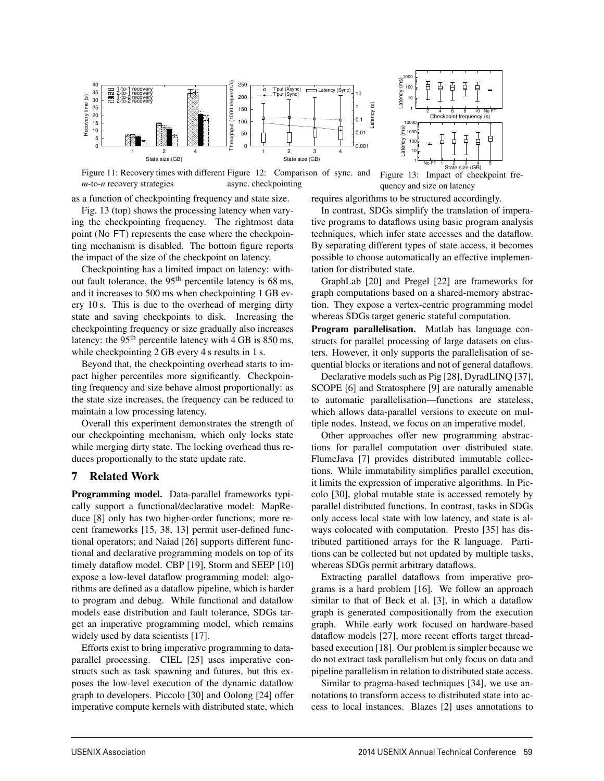

Figure 11: Recovery times with different Figure 12: Comparison of sync. and *m*-to-*n* recovery strategies async. checkpointing

as a function of checkpointing frequency and state size.

Fig. 13 (top) shows the processing latency when varying the checkpointing frequency. The rightmost data point (No FT) represents the case where the checkpointing mechanism is disabled. The bottom figure reports the impact of the size of the checkpoint on latency.

Checkpointing has a limited impact on latency: without fault tolerance, the  $95<sup>th</sup>$  percentile latency is 68 ms, and it increases to 500 ms when checkpointing 1 GB every 10 s. This is due to the overhead of merging dirty state and saving checkpoints to disk. Increasing the checkpointing frequency or size gradually also increases latency: the  $95<sup>th</sup>$  percentile latency with 4 GB is 850 ms, while checkpointing 2 GB every 4 s results in 1 s.

Beyond that, the checkpointing overhead starts to impact higher percentiles more significantly. Checkpointing frequency and size behave almost proportionally: as the state size increases, the frequency can be reduced to maintain a low processing latency.

Overall this experiment demonstrates the strength of our checkpointing mechanism, which only locks state while merging dirty state. The locking overhead thus reduces proportionally to the state update rate.

#### 7 Related Work

Programming model. Data-parallel frameworks typically support a functional/declarative model: MapReduce [8] only has two higher-order functions; more recent frameworks [15, 38, 13] permit user-defined functional operators; and Naiad [26] supports different functional and declarative programming models on top of its timely dataflow model. CBP [19], Storm and SEEP [10] expose a low-level dataflow programming model: algorithms are defined as a dataflow pipeline, which is harder to program and debug. While functional and dataflow models ease distribution and fault tolerance, SDGs target an imperative programming model, which remains widely used by data scientists [17].

Efforts exist to bring imperative programming to dataparallel processing. CIEL [25] uses imperative constructs such as task spawning and futures, but this exposes the low-level execution of the dynamic dataflow graph to developers. Piccolo [30] and Oolong [24] offer imperative compute kernels with distributed state, which

quency and size on latency requires algorithms to be structured accordingly.

Latency (ms)

Latency (ms)

Latency

2 4 6 8 10 No FT Checkpoint frequency (s)

No FT 1 2 3 4 5 State size (GB)

Ŧ  $\overline{4}$ 

Figure 13: Impact of checkpoint fre-

In contrast, SDGs simplify the translation of imperative programs to dataflows using basic program analysis techniques, which infer state accesses and the dataflow. By separating different types of state access, it becomes possible to choose automatically an effective implementation for distributed state.

GraphLab [20] and Pregel [22] are frameworks for graph computations based on a shared-memory abstraction. They expose a vertex-centric programming model whereas SDGs target generic stateful computation.

Program parallelisation. Matlab has language constructs for parallel processing of large datasets on clusters. However, it only supports the parallelisation of sequential blocks or iterations and not of general dataflows.

Declarative models such as Pig [28], DyradLINQ [37], SCOPE [6] and Stratosphere [9] are naturally amenable to automatic parallelisation—functions are stateless, which allows data-parallel versions to execute on multiple nodes. Instead, we focus on an imperative model.

Other approaches offer new programming abstractions for parallel computation over distributed state. FlumeJava [7] provides distributed immutable collections. While immutability simplifies parallel execution, it limits the expression of imperative algorithms. In Piccolo [30], global mutable state is accessed remotely by parallel distributed functions. In contrast, tasks in SDGs only access local state with low latency, and state is always colocated with computation. Presto [35] has distributed partitioned arrays for the R language. Partitions can be collected but not updated by multiple tasks, whereas SDGs permit arbitrary dataflows.

Extracting parallel dataflows from imperative programs is a hard problem [16]. We follow an approach similar to that of Beck et al. [3], in which a dataflow graph is generated compositionally from the execution graph. While early work focused on hardware-based dataflow models [27], more recent efforts target threadbased execution [18]. Our problem is simpler because we do not extract task parallelism but only focus on data and pipeline parallelism in relation to distributed state access.

Similar to pragma-based techniques [34], we use annotations to transform access to distributed state into access to local instances. Blazes [2] uses annotations to

 $\overline{1}$